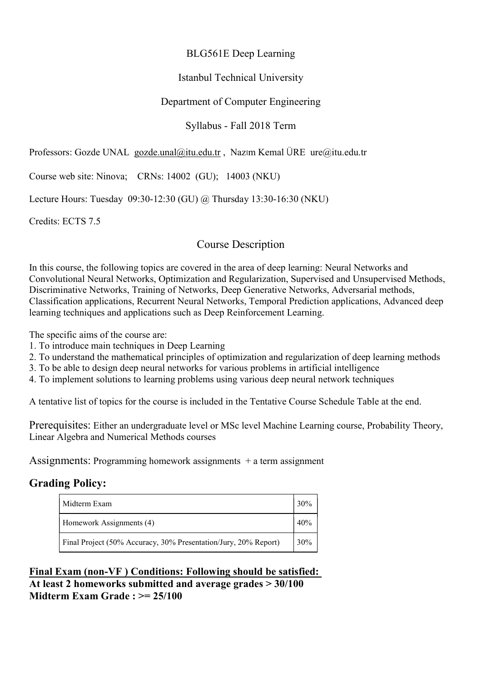### BLG561E Deep Learning

### Istanbul Technical University

### Department of Computer Engineering

### Syllabus - Fall 2018 Term

Professors: Gozde UNAL gozde.unal@itu.edu.tr , Nazım Kemal ÜRE ure@itu.edu.tr

Course web site: Ninova; CRNs: 14002 (GU); 14003 (NKU)

Lecture Hours: Tuesday 09:30-12:30 (GU) @ Thursday 13:30-16:30 (NKU)

Credits: ECTS 7.5

### Course Description

In this course, the following topics are covered in the area of deep learning: Neural Networks and Convolutional Neural Networks, Optimization and Regularization, Supervised and Unsupervised Methods, Discriminative Networks, Training of Networks, Deep Generative Networks, Adversarial methods, Classification applications, Recurrent Neural Networks, Temporal Prediction applications, Advanced deep learning techniques and applications such as Deep Reinforcement Learning.

The specific aims of the course are:

- 1. To introduce main techniques in Deep Learning
- 2. To understand the mathematical principles of optimization and regularization of deep learning methods
- 3. To be able to design deep neural networks for various problems in artificial intelligence
- 4. To implement solutions to learning problems using various deep neural network techniques

A tentative list of topics for the course is included in the Tentative Course Schedule Table at the end.

Prerequisites: Either an undergraduate level or MSc level Machine Learning course, Probability Theory, Linear Algebra and Numerical Methods courses

Assignments: Programming homework assignments  $+$  a term assignment

### Grading Policy:

| Midterm Exam                                                    | 30% |  |
|-----------------------------------------------------------------|-----|--|
| Homework Assignments (4)                                        | 40% |  |
| Final Project (50% Accuracy, 30% Presentation/Jury, 20% Report) |     |  |

Final Exam (non-VF ) Conditions: Following should be satisfied: At least 2 homeworks submitted and average grades > 30/100 Midterm Exam Grade : >= 25/100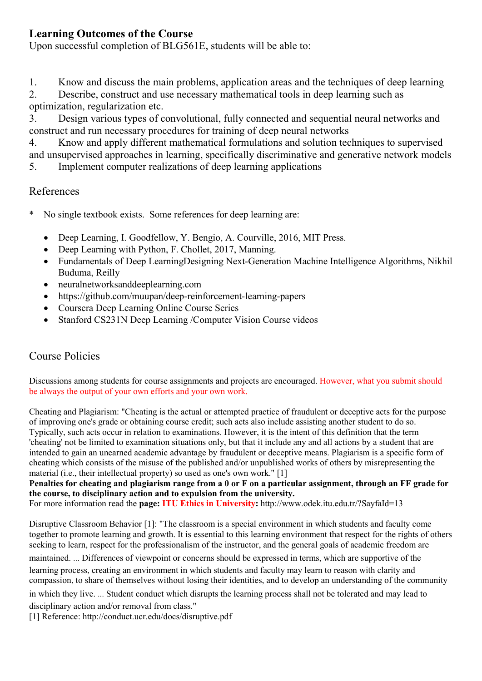## Learning Outcomes of the Course

Upon successful completion of BLG561E, students will be able to:

1. Know and discuss the main problems, application areas and the techniques of deep learning

2. Describe, construct and use necessary mathematical tools in deep learning such as optimization, regularization etc.

3. Design various types of convolutional, fully connected and sequential neural networks and construct and run necessary procedures for training of deep neural networks

4. Know and apply different mathematical formulations and solution techniques to supervised and unsupervised approaches in learning, specifically discriminative and generative network models 5. Implement computer realizations of deep learning applications

### References

- No single textbook exists. Some references for deep learning are:
	- Deep Learning, I. Goodfellow, Y. Bengio, A. Courville, 2016, MIT Press.
	- Deep Learning with Python, F. Chollet, 2017, Manning.
	- Fundamentals of Deep LearningDesigning Next-Generation Machine Intelligence Algorithms, Nikhil Buduma, Reilly
	- neuralnetworksanddeeplearning.com
	- https://github.com/muupan/deep-reinforcement-learning-papers
	- Coursera Deep Learning Online Course Series
	- Stanford CS231N Deep Learning /Computer Vision Course videos

# Course Policies

Discussions among students for course assignments and projects are encouraged. However, what you submit should be always the output of your own efforts and your own work.

Cheating and Plagiarism: "Cheating is the actual or attempted practice of fraudulent or deceptive acts for the purpose of improving one's grade or obtaining course credit; such acts also include assisting another student to do so. Typically, such acts occur in relation to examinations. However, it is the intent of this definition that the term 'cheating' not be limited to examination situations only, but that it include any and all actions by a student that are intended to gain an unearned academic advantage by fraudulent or deceptive means. Plagiarism is a specific form of cheating which consists of the misuse of the published and/or unpublished works of others by misrepresenting the material (i.e., their intellectual property) so used as one's own work." [1]

#### Penalties for cheating and plagiarism range from a 0 or F on a particular assignment, through an FF grade for the course, to disciplinary action and to expulsion from the university.

For more information read the **page: ITU Ethics in University:** http://www.odek.itu.edu.tr/?SayfaId=13

Disruptive Classroom Behavior [1]: "The classroom is a special environment in which students and faculty come together to promote learning and growth. It is essential to this learning environment that respect for the rights of others seeking to learn, respect for the professionalism of the instructor, and the general goals of academic freedom are

maintained. … Differences of viewpoint or concerns should be expressed in terms, which are supportive of the learning process, creating an environment in which students and faculty may learn to reason with clarity and compassion, to share of themselves without losing their identities, and to develop an understanding of the community

in which they live. … Student conduct which disrupts the learning process shall not be tolerated and may lead to disciplinary action and/or removal from class."

[1] Reference: http://conduct.ucr.edu/docs/disruptive.pdf